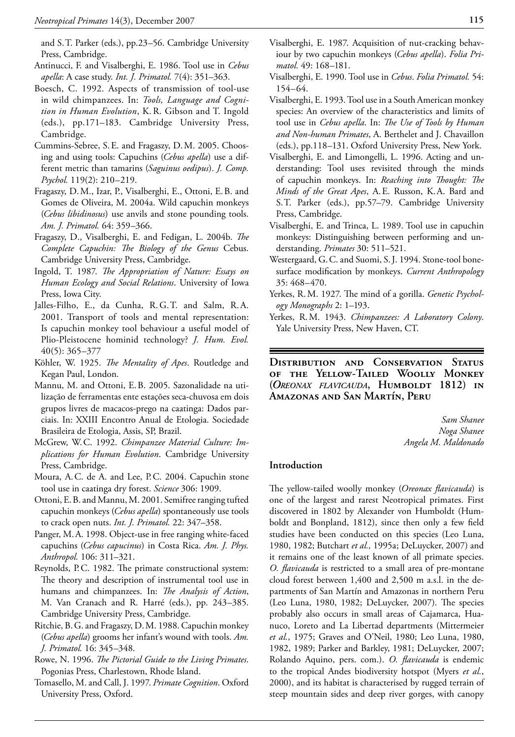and S.T. Parker (eds.), pp.23–56. Cambridge University Press, Cambridge.

- Antinucci, F. and Visalberghi, E. 1986. Tool use in *Cebus apella*: A case study. *Int. J. Primatol.* 7(4): 351–363.
- Boesch, C. 1992. Aspects of transmission of tool-use in wild chimpanzees. In: *Tools, Language and Cognition in Human Evolution*, K. R. Gibson and T. Ingold (eds.), pp.171–183. Cambridge University Press, Cambridge.
- Cummins-Sebree, S.E. and Fragaszy, D.M. 2005. Choosing and using tools: Capuchins (*Cebus apella*) use a different metric than tamarins (*Saguinus oedipus*). *J. Comp. Psychol.* 119(2): 210–219.
- Fragaszy, D.M., Izar, P., Visalberghi, E., Ottoni, E.B. and Gomes de Oliveira, M. 2004a. Wild capuchin monkeys (*Cebus libidinosus*) use anvils and stone pounding tools. *Am. J. Primatol.* 64: 359–366.
- Fragaszy, D., Visalberghi, E. and Fedigan, L. 2004b. *The Complete Capuchin: The Biology of the Genus* Cebus. Cambridge University Press, Cambridge.
- Ingold, T. 1987. *The Appropriation of Nature: Essays on Human Ecology and Social Relations*. University of Iowa Press, Iowa City.
- Jalles-Filho, E., da Cunha, R.G.T. and Salm, R.A. 2001. Transport of tools and mental representation: Is capuchin monkey tool behaviour a useful model of Plio-Pleistocene hominid technology? *J. Hum. Evol.* 40(5): 365–377
- Köhler, W. 1925. *The Mentality of Apes*. Routledge and Kegan Paul, London.
- Mannu, M. and Ottoni, E.B. 2005. Sazonalidade na utilização de ferramentas ente estações seca-chuvosa em dois grupos livres de macacos-prego na caatinga: Dados parciais. In: XXIII Encontro Anual de Etologia. Sociedade Brasileira de Etologia, Assis, SP, Brazil.
- McGrew, W.C. 1992. *Chimpanzee Material Culture: Implications for Human Evolution*. Cambridge University Press, Cambridge.
- Moura, A.C. de A. and Lee, P.C. 2004. Capuchin stone tool use in caatinga dry forest. *Science* 306: 1909.
- Ottoni, E.B. and Mannu, M. 2001. Semifree ranging tufted capuchin monkeys (*Cebus apella*) spontaneously use tools to crack open nuts. *Int. J. Primatol.* 22: 347–358.
- Panger, M.A. 1998. Object-use in free ranging white-faced capuchins (*Cebus capucinus*) in Costa Rica. *Am. J. Phys. Anthropol.* 106: 311–321.
- Reynolds, P.C. 1982. The primate constructional system: The theory and description of instrumental tool use in humans and chimpanzees. In: *The Analysis of Action*, M. Van Cranach and R. Harré (eds.), pp. 243–385. Cambridge University Press, Cambridge.
- Ritchie, B.G. and Fragaszy, D.M. 1988. Capuchin monkey (*Cebus apella*) grooms her infant's wound with tools. *Am. J. Primatol.* 16: 345–348.
- Rowe, N. 1996. *The Pictorial Guide to the Living Primates*. Pogonias Press, Charlestown, Rhode Island.
- Tomasello, M. and Call, J. 1997. *Primate Cognition*. Oxford University Press, Oxford.
- Visalberghi, E. 1987. Acquisition of nut-cracking behaviour by two capuchin monkeys (*Cebus apella*). *Folia Primatol.* 49: 168–181.
- Visalberghi, E. 1990. Tool use in *Cebus*. *Folia Primatol.* 54: 154–64.
- Visalberghi, E. 1993. Tool use in a South American monkey species: An overview of the characteristics and limits of tool use in *Cebus apella*. In: *The Use of Tools by Human and Non-human Primates*, A. Berthelet and J. Chavaillon (eds.), pp.118–131. Oxford University Press, New York.
- Visalberghi, E. and Limongelli, L. 1996. Acting and understanding: Tool uses revisited through the minds of capuchin monkeys. In: *Reaching into Thought: The Minds of the Great Apes*, A.E. Russon, K.A. Bard and S.T. Parker (eds.), pp.57–79. Cambridge University Press, Cambridge.
- Visalberghi, E. and Trinca, L. 1989. Tool use in capuchin monkeys: Distinguishing between performing and understanding. *Primates* 30: 511–521.
- Westergaard, G.C. and Suomi, S.J. 1994. Stone-tool bonesurface modification by monkeys. *Current Anthropology* 35: 468–470.
- Yerkes, R.M. 1927. The mind of a gorilla. *Genetic Psychology Monographs* 2: 1–193.
- Yerkes, R.M. 1943. *Chimpanzees: A Laboratory Colony*. Yale University Press, New Haven, CT.

**Distribution and Conservation Status of the Yellow-Tailed Woolly Monkey (***Oreonax flavicauda***, Humboldt 1812) in Amazonas and San Martín, Peru**

> *Sam Shanee Noga Shanee Angela M. Maldonado*

# **Introduction**

The yellow-tailed woolly monkey (*Oreonax flavicauda*) is one of the largest and rarest Neotropical primates. First discovered in 1802 by Alexander von Humboldt (Humboldt and Bonpland, 1812), since then only a few field studies have been conducted on this species (Leo Luna, 1980, 1982; Butchart *et al.,* 1995a; DeLuycker, 2007) and it remains one of the least known of all primate species. *O. flavicauda* is restricted to a small area of pre-montane cloud forest between 1,400 and 2,500 m a.s.l. in the departments of San Martín and Amazonas in northern Peru (Leo Luna, 1980, 1982; DeLuycker, 2007). The species probably also occurs in small areas of Cajamarca, Huanuco, Loreto and La Libertad departments (Mittermeier *et al.*, 1975; Graves and O'Neil, 1980; Leo Luna, 1980, 1982, 1989; Parker and Barkley, 1981; DeLuycker, 2007; Rolando Aquino, pers. com.). *O. flavicauda* is endemic to the tropical Andes biodiversity hotspot (Myers *et al.*, 2000), and its habitat is characterised by rugged terrain of steep mountain sides and deep river gorges, with canopy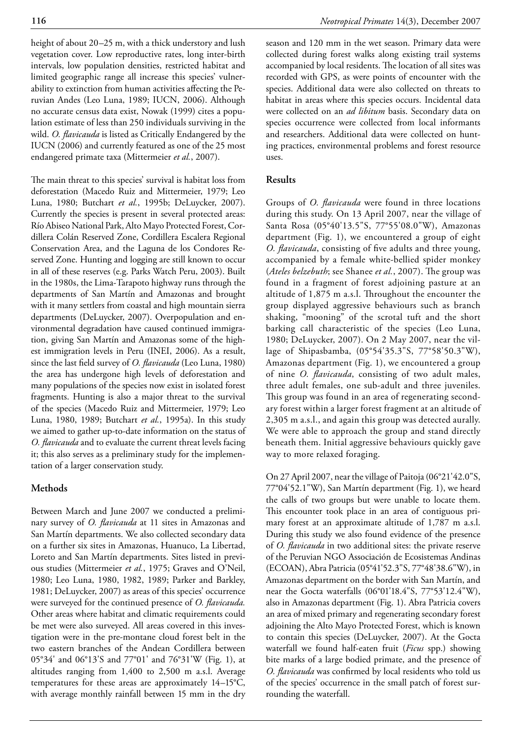height of about 20–25 m, with a thick understory and lush vegetation cover. Low reproductive rates, long inter-birth intervals, low population densities, restricted habitat and limited geographic range all increase this species' vulnerability to extinction from human activities affecting the Peruvian Andes (Leo Luna, 1989; IUCN, 2006). Although no accurate census data exist, Nowak (1999) cites a population estimate of less than 250 individuals surviving in the wild. *O. flavicauda* is listed as Critically Endangered by the IUCN (2006) and currently featured as one of the 25 most endangered primate taxa (Mittermeier *et al.*, 2007).

The main threat to this species' survival is habitat loss from deforestation (Macedo Ruiz and Mittermeier, 1979; Leo Luna, 1980; Butchart *et al.*, 1995b; DeLuycker, 2007). Currently the species is present in several protected areas: Río Abiseo National Park, Alto Mayo Protected Forest, Cordillera Colán Reserved Zone, Cordillera Escalera Regional Conservation Area, and the Laguna de los Condores Reserved Zone. Hunting and logging are still known to occur in all of these reserves (e.g. Parks Watch Peru, 2003). Built in the 1980s, the Lima-Tarapoto highway runs through the departments of San Martín and Amazonas and brought with it many settlers from coastal and high mountain sierra departments (DeLuycker, 2007). Overpopulation and environmental degradation have caused continued immigration, giving San Martín and Amazonas some of the highest immigration levels in Peru (INEI, 2006). As a result, since the last field survey of *O. flavicauda* (Leo Luna, 1980) the area has undergone high levels of deforestation and many populations of the species now exist in isolated forest fragments. Hunting is also a major threat to the survival of the species (Macedo Ruiz and Mittermeier, 1979; Leo Luna, 1980, 1989; Butchart *et al.*, 1995a). In this study we aimed to gather up-to-date information on the status of *O. flavicauda* and to evaluate the current threat levels facing it; this also serves as a preliminary study for the implementation of a larger conservation study.

## **Methods**

Between March and June 2007 we conducted a preliminary survey of *O. flavicauda* at 11 sites in Amazonas and San Martín departments. We also collected secondary data on a further six sites in Amazonas, Huanuco, La Libertad, Loreto and San Martín departments. Sites listed in previous studies (Mittermeier *et al.*, 1975; Graves and O'Neil, 1980; Leo Luna, 1980, 1982, 1989; Parker and Barkley, 1981; DeLuycker, 2007) as areas of this species' occurrence were surveyed for the continued presence of *O. flavicauda.* Other areas where habitat and climatic requirements could be met were also surveyed. All areas covered in this investigation were in the pre-montane cloud forest belt in the two eastern branches of the Andean Cordillera between 05°34' and 06°13'S and 77°01' and 76°31'W (Fig. 1), at altitudes ranging from 1,400 to 2,500 m a.s.l. Average temperatures for these areas are approximately 14–15°C, with average monthly rainfall between 15 mm in the dry season and 120 mm in the wet season. Primary data were collected during forest walks along existing trail systems accompanied by local residents. The location of all sites was recorded with GPS, as were points of encounter with the species. Additional data were also collected on threats to habitat in areas where this species occurs. Incidental data were collected on an *ad libitum* basis. Secondary data on species occurrence were collected from local informants and researchers. Additional data were collected on hunting practices, environmental problems and forest resource uses.

## **Results**

Groups of *O. flavicauda* were found in three locations during this study. On 13 April 2007, near the village of Santa Rosa (05°40'13.5"S, 77°55'08.0"W), Amazonas department (Fig. 1), we encountered a group of eight *O. flavicauda*, consisting of five adults and three young, accompanied by a female white-bellied spider monkey (*Ateles belzebuth*; see Shanee *et al.*, 2007). The group was found in a fragment of forest adjoining pasture at an altitude of 1,875 m a.s.l. Throughout the encounter the group displayed aggressive behaviours such as branch shaking, "mooning" of the scrotal tuft and the short barking call characteristic of the species (Leo Luna, 1980; DeLuycker, 2007). On 2 May 2007, near the village of Shipasbamba, (05°54'35.3"S, 77°58'50.3"W), Amazonas department (Fig. 1), we encountered a group of nine *O. flavicauda*, consisting of two adult males, three adult females, one sub-adult and three juveniles. This group was found in an area of regenerating secondary forest within a larger forest fragment at an altitude of 2,305 m a.s.l., and again this group was detected aurally. We were able to approach the group and stand directly beneath them. Initial aggressive behaviours quickly gave way to more relaxed foraging.

On 27 April 2007, near the village of Paitoja (06°21'42.0"S, 77°04'52.1"W), San Martín department (Fig. 1), we heard the calls of two groups but were unable to locate them. This encounter took place in an area of contiguous primary forest at an approximate altitude of 1,787 m a.s.l. During this study we also found evidence of the presence of *O. flavicauda* in two additional sites: the private reserve of the Peruvian NGO Associación de Ecosistemas Andinas (ECOAN), Abra Patricia (05°41'52.3"S, 77°48'38.6"W), in Amazonas department on the border with San Martín, and near the Gocta waterfalls (06°01'18.4"S, 77°53'12.4"W), also in Amazonas department (Fig. 1). Abra Patricia covers an area of mixed primary and regenerating secondary forest adjoining the Alto Mayo Protected Forest, which is known to contain this species (DeLuycker, 2007). At the Gocta waterfall we found half-eaten fruit (*Ficus* spp.) showing bite marks of a large bodied primate, and the presence of *O. flavicauda* was confirmed by local residents who told us of the species' occurrence in the small patch of forest surrounding the waterfall.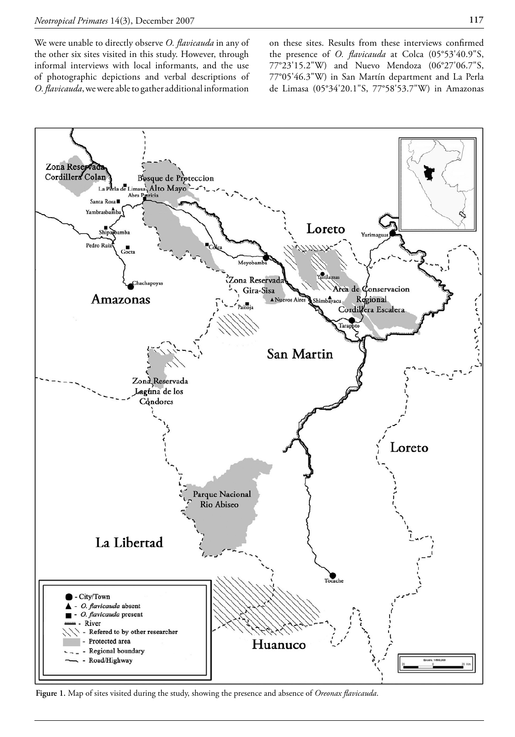We were unable to directly observe *O. flavicauda* in any of the other six sites visited in this study. However, through informal interviews with local informants, and the use of photographic depictions and verbal descriptions of *O. flavicauda*, we were able to gather additional information

on these sites. Results from these interviews confirmed the presence of *O. flavicauda* at Colca (05°53'40.9"S, 77°23'15.2"W) and Nuevo Mendoza (06°27'06.7"S, 77°05'46.3"W) in San Martín department and La Perla de Limasa (05°34'20.1"S, 77°58'53.7"W) in Amazonas



**Figure 1.** Map of sites visited during the study, showing the presence and absence of *Oreonax flavicauda*.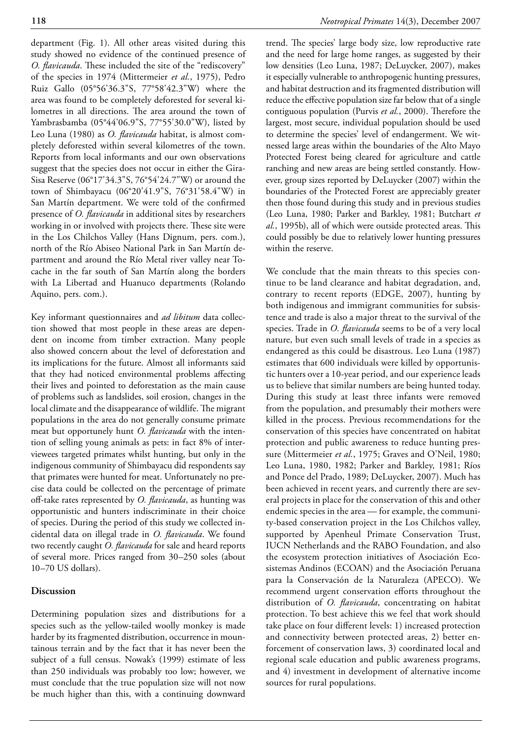department (Fig. 1). All other areas visited during this study showed no evidence of the continued presence of *O. flavicauda*. These included the site of the "rediscovery" of the species in 1974 (Mittermeier *et al.*, 1975), Pedro Ruiz Gallo (05°56'36.3"S, 77°58'42.3"W) where the area was found to be completely deforested for several kilometres in all directions. The area around the town of Yambrasbamba (05°44'06.9"S, 77°55'30.0"W), listed by Leo Luna (1980) as *O. flavicauda* habitat, is almost completely deforested within several kilometres of the town. Reports from local informants and our own observations suggest that the species does not occur in either the Gira-Sisa Reserve (06°17'34.3"S, 76°54'24.7"W) or around the town of Shimbayacu (06°20'41.9"S, 76°31'58.4"W) in San Martín department. We were told of the confirmed presence of *O. flavicauda* in additional sites by researchers working in or involved with projects there. These site were in the Los Chilchos Valley (Hans Dignum, pers. com.), north of the Río Abiseo National Park in San Martín department and around the Río Metal river valley near Tocache in the far south of San Martín along the borders with La Libertad and Huanuco departments (Rolando Aquino, pers. com.).

Key informant questionnaires and *ad libitum* data collection showed that most people in these areas are dependent on income from timber extraction. Many people also showed concern about the level of deforestation and its implications for the future. Almost all informants said that they had noticed environmental problems affecting their lives and pointed to deforestation as the main cause of problems such as landslides, soil erosion, changes in the local climate and the disappearance of wildlife. The migrant populations in the area do not generally consume primate meat but opportunely hunt *O. flavicauda* with the intention of selling young animals as pets: in fact 8% of interviewees targeted primates whilst hunting, but only in the indigenous community of Shimbayacu did respondents say that primates were hunted for meat. Unfortunately no precise data could be collected on the percentage of primate off-take rates represented by *O. flavicauda*, as hunting was opportunistic and hunters indiscriminate in their choice of species. During the period of this study we collected incidental data on illegal trade in *O. flavicauda*. We found two recently caught *O. flavicauda* for sale and heard reports of several more. Prices ranged from 30–250 soles (about 10–70 US dollars).

#### **Discussion**

Determining population sizes and distributions for a species such as the yellow-tailed woolly monkey is made harder by its fragmented distribution, occurrence in mountainous terrain and by the fact that it has never been the subject of a full census. Nowak's (1999) estimate of less than 250 individuals was probably too low; however, we must conclude that the true population size will not now be much higher than this, with a continuing downward trend. The species' large body size, low reproductive rate and the need for large home ranges, as suggested by their low densities (Leo Luna, 1987; DeLuycker, 2007), makes it especially vulnerable to anthropogenic hunting pressures, and habitat destruction and its fragmented distribution will reduce the effective population size far below that of a single contiguous population (Purvis *et al.*, 2000). Therefore the largest, most secure, individual population should be used to determine the species' level of endangerment. We witnessed large areas within the boundaries of the Alto Mayo Protected Forest being cleared for agriculture and cattle ranching and new areas are being settled constantly. However, group sizes reported by DeLuycker (2007) within the boundaries of the Protected Forest are appreciably greater then those found during this study and in previous studies (Leo Luna, 1980; Parker and Barkley, 1981; Butchart *et al.*, 1995b), all of which were outside protected areas. This could possibly be due to relatively lower hunting pressures within the reserve.

We conclude that the main threats to this species continue to be land clearance and habitat degradation, and, contrary to recent reports (EDGE, 2007), hunting by both indigenous and immigrant communities for subsistence and trade is also a major threat to the survival of the species. Trade in *O. flavicauda* seems to be of a very local nature, but even such small levels of trade in a species as endangered as this could be disastrous. Leo Luna (1987) estimates that 600 individuals were killed by opportunistic hunters over a 10-year period, and our experience leads us to believe that similar numbers are being hunted today. During this study at least three infants were removed from the population, and presumably their mothers were killed in the process. Previous recommendations for the conservation of this species have concentrated on habitat protection and public awareness to reduce hunting pressure (Mittermeier *et al.*, 1975; Graves and O'Neil, 1980; Leo Luna, 1980, 1982; Parker and Barkley, 1981; Ríos and Ponce del Prado, 1989; DeLuycker, 2007). Much has been achieved in recent years, and currently there are several projects in place for the conservation of this and other endemic species in the area — for example, the community-based conservation project in the Los Chilchos valley, supported by Apenheul Primate Conservation Trust, IUCN Netherlands and the RABO Foundation, and also the ecosystem protection initiatives of Asociación Ecosistemas Andinos (ECOAN) and the Asociación Peruana para la Conservación de la Naturaleza (APECO). We recommend urgent conservation efforts throughout the distribution of *O. flavicauda*, concentrating on habitat protection. To best achieve this we feel that work should take place on four different levels: 1) increased protection and connectivity between protected areas, 2) better enforcement of conservation laws, 3) coordinated local and regional scale education and public awareness programs, and 4) investment in development of alternative income sources for rural populations.